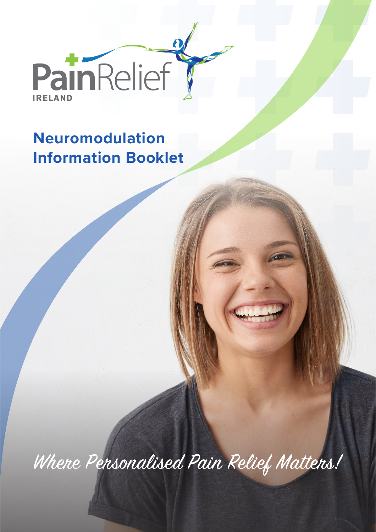

 $\mathbf{\Omega}$ 

# **Neuromodulation Information Booklet**

Where Personalised Pain Relief Matters!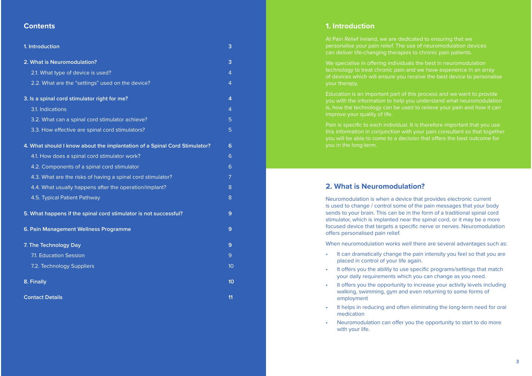#### **Contents**

| 1. Introduction                                                           | 3                |
|---------------------------------------------------------------------------|------------------|
| 2. What is Neuromodulation?                                               | 3                |
| 2.1. What type of device is used?                                         | 4                |
| 2.2. What are the "settings" used on the device?                          | 4                |
| 3. Is a spinal cord stimulator right for me?                              | 4                |
| 3.1. Indications                                                          | $\overline{4}$   |
| 3.2. What can a spinal cord stimulator achieve?                           | 5                |
| 3.3. How effective are spinal cord stimulators?                           | 5                |
| 4. What should I know about the implantation of a Spinal Cord Stimulator? | 6                |
| 4.1. How does a spinal cord stimulator work?                              | 6                |
| 4.2. Components of a spinal cord stimulator                               | 6                |
| 4.3. What are the risks of having a spinal cord stimulator?               | $\overline{7}$   |
| 4.4. What usually happens after the operation/implant?                    | 8                |
| 4.5. Typical Patient Pathway                                              | 8                |
| 5. What happens if the spinal cord stimulator is not successful?          | 9                |
| 6. Pain Management Wellness Programme                                     | 9                |
| 7. The Technology Day                                                     | 9                |
| 7.1. Education Session                                                    | 9                |
| 7.2. Technology Suppliers                                                 | 10               |
| 8. Finally                                                                | 10 <sup>10</sup> |
| <b>Contact Details</b>                                                    | 11               |

#### **1. Introduction**

At Pain Relief Ireland, we are dedicated to ensuring that we personalise your pain relief. The use of neuromodulation devices can deliver life-changing therapies to chronic pain patients.

We specialise in offering individuals the best in neuromodulation technology to treat chronic pain and we have experience in an array your therapy.

Education is an important part of this process and we want to provide you with the information to help you understand what neuromodulation is, how the technology can be used to relieve your pain and how it can

Pain is specific to each individual. It is therefore important that you use this information in conjunction with your pain consultant so that together you will be able to come to a decision that offers the best outcome for you in the long-term.

#### **2. What is Neuromodulation?**

Neuromodulation is when a device that provides electronic current is used to change / control some of the pain messages that your body sends to your brain. This can be in the form of a traditional spinal cord stimulator, which is implanted near the spinal cord, or it may be a more focused device that targets a specific nerve or nerves. Neuromodulation offers personalised pain relief.

When neuromodulation works well there are several advantages such as:

- It can dramatically change the pain intensity you feel so that you are placed in control of your life again.
- It offers you the ability to use specific programs/settings that match your daily requirements which you can change as you need.
- •It offers you the opportunity to increase your activity levels including walking, swimming, gym and even returning to some forms of employment
- It helps in reducing and often eliminating the long-term need for oral medication
- Neuromodulation can offer you the opportunity to start to do more with your life.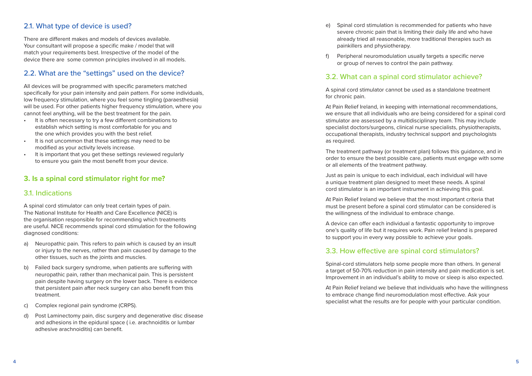#### 2.1. What type of device is used?

There are different makes and models of devices available. Your consultant will propose a specific make / model that will match your requirements best. Irrespective of the model of the device there are some common principles involved in all models.

## 2.2. What are the "settings" used on the device?

All devices will be programmed with specific parameters matched specifically for your pain intensity and pain pattern. For some individuals, low frequency stimulation, where you feel some tingling (paraesthesia) will be used. For other patients higher frequency stimulation, where you cannot feel anything, will be the best treatment for the pain.

- •It is often necessary to try a few different combinations to establish which setting is most comfortable for you and the one which provides you with the best relief.
- • It is not uncommon that these settings may need to be modified as your activity levels increase.
- • It is important that you get these settings reviewed regularly to ensure you gain the most benefit from your device.

#### **3. Is a spinal cord stimulator right for me?**

## 3.1. Indications

A spinal cord stimulator can only treat certain types of pain. The National Institute for Health and Care Excellence (NICE) is the organisation responsible for recommending which treatments are useful. NICE recommends spinal cord stimulation for the following diagnosed conditions:

- a) Neuropathic pain. This refers to pain which is caused by an insult or injury to the nerves, rather than pain caused by damage to the other tissues, such as the joints and muscles.
- b) Failed back surgery syndrome, when patients are suffering with neuropathic pain, rather than mechanical pain. This is persistent pain despite having surgery on the lower back. There is evidence that persistent pain after neck surgery can also benefit from this treatment.
- c) Complex regional pain syndrome (CRPS).
- d) Post Laminectomy pain, disc surgery and degenerative disc disease and adhesions in the epidural space ( i.e. arachnoiditis or lumbar adhesive arachnoiditis) can benefit.
- e) Spinal cord stimulation is recommended for patients who have severe chronic pain that is limiting their daily life and who have already tried all reasonable, more traditional therapies such as painkillers and physiotherapy.
- f) Peripheral neuromodulation usually targets a specific nerve or group of nerves to control the pain pathway.

#### 3.2. What can a spinal cord stimulator achieve?

A spinal cord stimulator cannot be used as a standalone treatment for chronic pain.

At Pain Relief Ireland, in keeping with international recommendations, we ensure that all individuals who are being considered for a spinal cord stimulator are assessed by a multidisciplinary team. This may include specialist doctors/surgeons, clinical nurse specialists, physiotherapists, occupational therapists, industry technical support and psychologists as required.

The treatment pathway (or treatment plan) follows this guidance, and in order to ensure the best possible care, patients must engage with some or all elements of the treatment pathway.

Just as pain is unique to each individual, each individual will have a unique treatment plan designed to meet these needs. A spinal cord stimulator is an important instrument in achieving this goal.

At Pain Relief Ireland we believe that the most important criteria that must be present before a spinal cord stimulator can be considered is the willingness of the individual to embrace change.

A device can offer each individual a fantastic opportunity to improve one's quality of life but it requires work. Pain relief Ireland is prepared to support you in every way possible to achieve your goals.

#### 3.3. How effective are spinal cord stimulators?

Spinal-cord stimulators help some people more than others. In general a target of 50-70% reduction in pain intensity and pain medication is set. Improvement in an individual's ability to move or sleep is also expected.

At Pain Relief Ireland we believe that individuals who have the willingness to embrace change find neuromodulation most effective. Ask your specialist what the results are for people with your particular condition.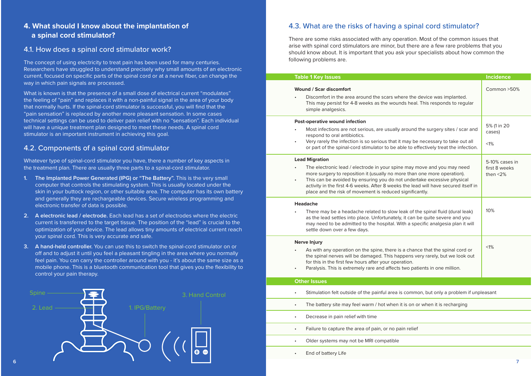# **4. What should I know about the implantation of a spinal cord stimulator?**

#### 4.1. How does a spinal cord stimulator work?

The concept of using electricity to treat pain has been used for many centuries. Researchers have struggled to understand precisely why small amounts of an electronic current, focused on specific parts of the spinal cord or at a nerve fiber, can change the way in which pain signals are processed.

What is known is that the presence of a small dose of electrical current "modulates" the feeling of "pain" and replaces it with a non-painful signal in the area of your body that normally hurts. If the spinal-cord stimulator is successful, you will find that the "pain sensation" is replaced by another more pleasant sensation. In some cases technical settings can be used to deliver pain relief with no "sensation". Each individual will have a unique treatment plan designed to meet these needs. A spinal cord stimulator is an important instrument in achieving this goal.

#### 4.2. Components of a spinal cord stimulator

Whatever type of spinal-cord stimulator you have, there a number of key aspects in the treatment plan. There are usually three parts to a spinal-cord stimulator.

- **1. The Implanted Power Generated (IPG) or "The Battery".** This is the very small computer that controls the stimulating system. This is usually located under the skin in your buttock region, or other suitable area. The computer has its own battery and generally they are rechargeable devices. Secure wireless programming and electronic transfer of data is possible.
- **2. A electronic lead / electrode.** Each lead has a set of electrodes where the electric current is transferred to the target tissue. The position of the "lead" is crucial to the optimization of your device. The lead allows tiny amounts of electrical current reach your spinal cord. This is very accurate and safe.
- **3. A hand-held controller.** You can use this to switch the spinal-cord stimulator on or off and to adjust it until you feel a pleasant tingling in the area where you normally feel pain. You can carry the controller around with you - it's about the same size as a mobile phone. This is a bluetooth communication tool that gives you the flexibility to control your pain therapy.



### 4.3. What are the risks of having a spinal cord stimulator?

There are some risks associated with any operation. Most of the common issues that arise with spinal cord stimulators are minor, but there are a few rare problems that you should know about. It is important that you ask your specialists about how common the following problems are.

| <b>Table 1 Key Issues</b>                                                                                                                                                                                                                                                                                                                                                                                       | <b>Incidence</b>                               |
|-----------------------------------------------------------------------------------------------------------------------------------------------------------------------------------------------------------------------------------------------------------------------------------------------------------------------------------------------------------------------------------------------------------------|------------------------------------------------|
| Wound / Scar discomfort<br>Discomfort in the area around the scars where the device was implanted.<br>This may persist for 4-8 weeks as the wounds heal. This responds to regular<br>simple analgesics.                                                                                                                                                                                                         | Common > 50%                                   |
| Post-operative wound infection<br>Most infections are not serious, are usually around the surgery sites / scar and<br>respond to oral antibiotics.<br>Very rarely the infection is so serious that it may be necessary to take out all<br>or part of the spinal-cord stimulator to be able to effectively treat the infection.                                                                                  | 5% (1 in 20<br>cases)<br>$< 1\%$               |
| <b>Lead Migration</b><br>The electronic lead / electrode in your spine may move and you may need<br>more surgery to reposition it (usually no more than one more operation).<br>This can be avoided by ensuring you do not undertake excessive physical<br>٠<br>activity in the first 4-6 weeks. After 8 weeks the lead will have secured itself in<br>place and the risk of movement is reduced significantly. | 5-10% cases in<br>first 8 weeks<br>then $<$ 2% |
| Headache<br>There may be a headache related to slow leak of the spinal fluid (dural leak)<br>as the lead settles into place. Unfortunately, it can be quite severe and you<br>may need to be admitted to the hospital. With a specific analgesia plan it will<br>settle down over a few days.                                                                                                                   | 10%                                            |
| <b>Nerve Injury</b><br>As with any operation on the spine, there is a chance that the spinal cord or<br>the spinal nerves will be damaged. This happens very rarely, but we look out<br>for this in the first few hours after your operation.<br>Paralysis. This is extremely rare and affects two patients in one million.                                                                                     | $< 1\%$                                        |
| <b>Other Issues</b>                                                                                                                                                                                                                                                                                                                                                                                             |                                                |
| Stimulation felt outside of the painful area is common, but only a problem if unpleasant<br>$\bullet$                                                                                                                                                                                                                                                                                                           |                                                |
| The battery site may feel warm / hot when it is on or when it is recharging<br>$\bullet$                                                                                                                                                                                                                                                                                                                        |                                                |
| Decrease in pain relief with time<br>$\bullet$                                                                                                                                                                                                                                                                                                                                                                  |                                                |
| Failure to capture the area of pain, or no pain relief<br>$\bullet$                                                                                                                                                                                                                                                                                                                                             |                                                |
| Older systems may not be MRI compatible                                                                                                                                                                                                                                                                                                                                                                         |                                                |

End of battery Life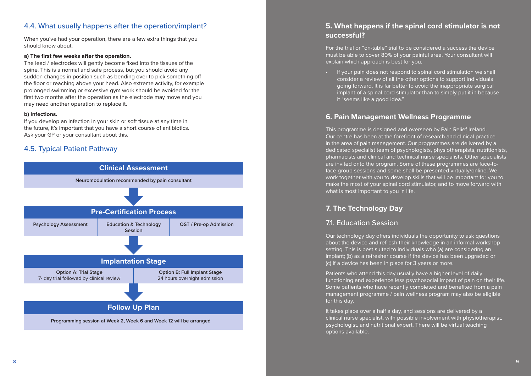## 4.4. What usually happens after the operation/implant?

When you've had your operation, there are a few extra things that you should know about.

#### **a) The first few weeks after the operation.**

The lead / electrodes will gently become fixed into the tissues of the spine. This is a normal and safe process, but you should avoid any sudden changes in position such as bending over to pick something o ! the floor or reaching above your head. Also extreme activity, for example prolonged swimming or excessive gym work should be avoided for the first two months after the operation as the electrode may move and you may need another operation to replace it.

#### **b) Infections.**

If you develop an infection in your skin or soft tissue at any time in the future, it's important that you have a short course of antibiotics. Ask your GP or your consultant about this.

## 4.5. Typical Patient Pathway



# **5. What happens if the spinal cord stimulator is not successful?**

For the trial or "on-table" trial to be considered a success the device must be able to cover 80% of your painful area. Your consultant will explain which approach is best for you.

• If your pain does not respond to spinal cord stimulation we shall consider a review of all the other options to support individuals going forward. It is far better to avoid the inappropriate surgical implant of a spinal cord stimulator than to simply put it in because it "seems like a good idea."

# **6. Pain Management Wellness Programme**

This programme is designed and overseen by Pain Relief Ireland. Our centre has been at the forefront of research and clinical practice in the area of pain management. Our programmes are delivered by a dedicated specialist team of psychologists, physiotherapists, nutritionists, pharmacists and clinical and technical nurse specialists. Other specialists are invited onto the program. Some of these programmes are face-toface group sessions and some shall be presented virtually/online. We work together with you to develop skills that will be important for you to make the most of your spinal cord stimulator, and to move forward with what is most important to you in life.

# **7. The Technology Day**

# 7.1. Education Session

Our technology day offers individuals the opportunity to ask questions about the device and refresh their knowledge in an informal workshop setting. This is best suited to individuals who (a) are considering an implant; (b) as a refresher course if the device has been upgraded or (c) if a device has been in place for 3 years or more.

Patients who attend this day usually have a higher level of daily functioning and experience less psychosocial impact of pain on their life. Some patients who have recently completed and benefited from a pain management programme / pain wellness program may also be eligible for this day.

It takes place over a half a day, and sessions are delivered by a clinical nurse specialist, with possible involvement with physiotherapist, psychologist, and nutritional expert. There will be virtual teaching options available.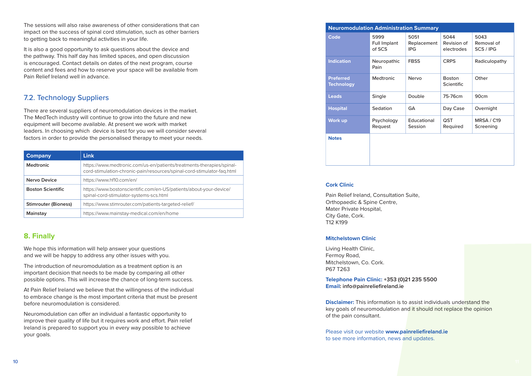The sessions will also raise awareness of other considerations that can impact on the success of spinal cord stimulation, such as other barriers to getting back to meaningful activities in your life.

It is also a good opportunity to ask questions about the device and the pathway. This half day has limited spaces, and open discussion is encouraged. Contact details on dates of the next program, course content and fees and how to reserve your space will be available from Pain Relief Ireland well in advance.

# 7.2. Technology Suppliers

There are several suppliers of neuromodulation devices in the market. The MedTech industry will continue to grow into the future and new equipment will become available. At present we work with market leaders. In choosing which device is best for you we will consider several factors in order to provide the personalised therapy to meet your needs.

| <b>Company</b>              | <b>Link</b>                                                                                                                                      |  |
|-----------------------------|--------------------------------------------------------------------------------------------------------------------------------------------------|--|
| <b>Medtronic</b>            | https://www.medtronic.com/us-en/patients/treatments-therapies/spinal-<br>cord-stimulation-chronic-pain/resources/spinal-cord-stimulator-fag.html |  |
| Nervo Device                | https://www.hf10.com/en/                                                                                                                         |  |
| <b>Boston Scientific</b>    | https://www.bostonscientific.com/en-US/patients/about-your-device/<br>spinal-cord-stimulator-systems-scs.html                                    |  |
| <b>Stimrouter (Bioness)</b> | https://www.stimrouter.com/patients-targeted-relief/                                                                                             |  |
| Mainstay                    | https://www.mainstay-medical.com/en/home                                                                                                         |  |

# **8. Finally**

We hope this information will help answer your questions and we will be happy to address any other issues with you.

The introduction of neuromodulation as a treatment option is an important decision that needs to be made by comparing all other possible options. This will increase the chance of long-term success.

At Pain Relief Ireland we believe that the willingness of the individual to embrace change is the most important criteria that must be present before neuromodulation is considered.

Neuromodulation can offer an individual a fantastic opportunity to improve their quality of life but it requires work and effort. Pain relief Ireland is prepared to support you in every way possible to achieve your goals.

| <b>Neuromodulation Administration Summary</b> |                                |                                   |                                    |                                 |  |  |
|-----------------------------------------------|--------------------------------|-----------------------------------|------------------------------------|---------------------------------|--|--|
| Code                                          | 5999<br>Full Implant<br>of SCS | 5051<br>Replacement<br><b>IPG</b> | 5044<br>Revision of<br>electrodes  | 5043<br>Removal of<br>SCS / IPG |  |  |
| <b>Indication</b>                             | Neuropathic<br>Pain            | <b>FBSS</b>                       | <b>CRPS</b>                        | Radiculopathy                   |  |  |
| <b>Preferred</b><br><b>Technology</b>         | <b>Medtronic</b>               | Nervo                             | <b>Boston</b><br><b>Scientific</b> | Other                           |  |  |
| <b>Leads</b>                                  | Single                         | Double                            | 75-76cm                            | 90 <sub>cm</sub>                |  |  |
| <b>Hospital</b>                               | Sedation                       | GA                                | Day Case                           | Overnight                       |  |  |
| <b>Work up</b>                                | Psychology<br>Request          | Educational<br>Session            | QST<br>Required                    | MRSA / C19<br>Screening         |  |  |
| <b>Notes</b>                                  |                                |                                   |                                    |                                 |  |  |

#### **Cork Clinic**

Pain Relief Ireland, Consultation Suite, Orthopaedic & Spine Centre, Mater Private Hospital, City Gate, Cork. T12 K199

#### **Mitchelstown Clinic**

Living Health Clinic, Fermoy Road, Mitchelstown, Co. Cork. P67 T263

**Telephone Pain Clinic: +353 (0)21 235 5500 Email: info@painreliefireland.ie**

**Disclaimer:** This information is to assist individuals understand the key goals of neuromodulation and it should not replace the opinion of the pain consultant.

Please visit our website **www.painreliefireland.ie** to see more information, news and updates.